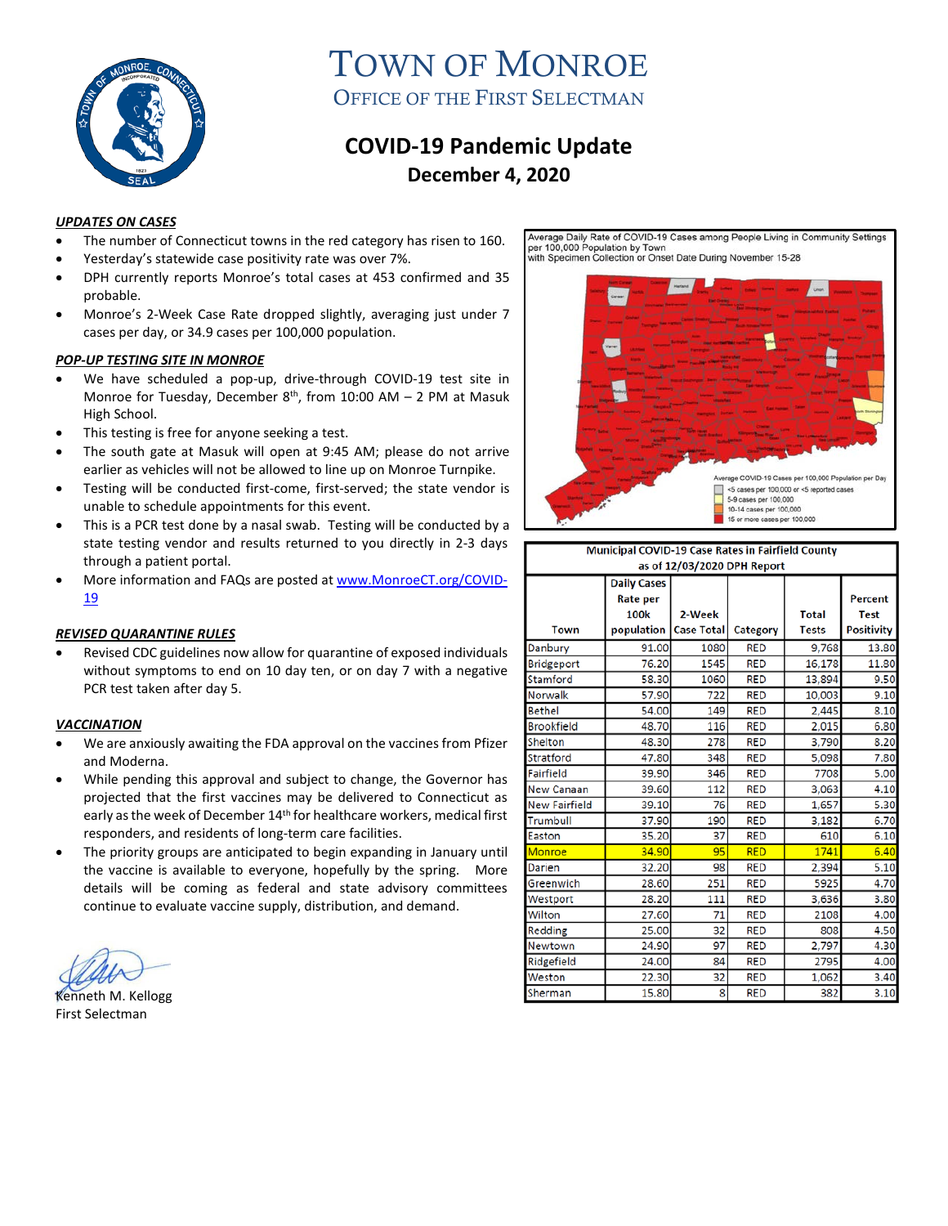

# TOWN OF MONROE OFFICE OF THE FIRST SELECTMAN

# **COVID-19 Pandemic Update December 4, 2020**

#### *UPDATES ON CASES*

- The number of Connecticut towns in the red category has risen to 160.
- Yesterday's statewide case positivity rate was over 7%.
- DPH currently reports Monroe's total cases at 453 confirmed and 35 probable.
- Monroe's 2-Week Case Rate dropped slightly, averaging just under 7 cases per day, or 34.9 cases per 100,000 population.

#### *POP-UP TESTING SITE IN MONROE*

- We have scheduled a pop-up, drive-through COVID-19 test site in Monroe for Tuesday, December  $8<sup>th</sup>$ , from 10:00 AM – 2 PM at Masuk High School.
- This testing is free for anyone seeking a test.
- The south gate at Masuk will open at 9:45 AM; please do not arrive earlier as vehicles will not be allowed to line up on Monroe Turnpike.
- Testing will be conducted first-come, first-served; the state vendor is unable to schedule appointments for this event.
- This is a PCR test done by a nasal swab. Testing will be conducted by a state testing vendor and results returned to you directly in 2-3 days through a patient portal.
- More information and FAQs are posted a[t www.MonroeCT.org/COVID-](http://www.monroect.org/COVID-19)[19](http://www.monroect.org/COVID-19)

# *REVISED QUARANTINE RULES*

• Revised CDC guidelines now allow for quarantine of exposed individuals without symptoms to end on 10 day ten, or on day 7 with a negative PCR test taken after day 5.

#### *VACCINATION*

- We are anxiously awaiting the FDA approval on the vaccines from Pfizer and Moderna.
- While pending this approval and subject to change, the Governor has projected that the first vaccines may be delivered to Connecticut as early as the week of December 14<sup>th</sup> for healthcare workers, medical first responders, and residents of long-term care facilities.
- The priority groups are anticipated to begin expanding in January until the vaccine is available to everyone, hopefully by the spring. More details will be coming as federal and state advisory committees continue to evaluate vaccine supply, distribution, and demand.

Kenneth M. Kellogg First Selectman

Average Daily Rate of COVID-19 Cases among People Living in Community Settings per 100,000 Population by Town<br>with Specimen Collection or Onset Date During November 15-28



| Municipal COVID-19 Case Rates in Fairfield County |                                                      |                             |            |                              |                                                    |
|---------------------------------------------------|------------------------------------------------------|-----------------------------|------------|------------------------------|----------------------------------------------------|
| as of 12/03/2020 DPH Report                       |                                                      |                             |            |                              |                                                    |
| <b>Town</b>                                       | <b>Daily Cases</b><br>Rate per<br>100k<br>population | 2-Week<br><b>Case Total</b> | Category   | <b>Total</b><br><b>Tests</b> | <b>Percent</b><br><b>Test</b><br><b>Positivity</b> |
| Danbury                                           | 91.00                                                | 1080                        | <b>RED</b> | 9,768                        | 13.80                                              |
| Bridgeport                                        | 76.20                                                | 1545                        | <b>RED</b> | 16,178                       | 11.80                                              |
| Stamford                                          | 58.30                                                | 1060                        | <b>RED</b> | 13,894                       | 9.50                                               |
| Norwalk                                           | 57.90                                                | 722                         | <b>RED</b> | 10,003                       | 9.10                                               |
| <b>Bethel</b>                                     | 54.00                                                | 149                         | <b>RED</b> | 2,445                        | 8.10                                               |
| <b>Brookfield</b>                                 | 48.70                                                | 116                         | <b>RED</b> | 2,015                        | 6.80                                               |
| Shelton                                           | 48.30                                                | 278                         | <b>RED</b> | 3,790                        | 8.20                                               |
| Stratford                                         | 47.80                                                | 348                         | <b>RED</b> | 5,098                        | 7.80                                               |
| Fairfield                                         | 39.90                                                | 346                         | <b>RED</b> | 7708                         | 5.00                                               |
| New Canaan                                        | 39.60                                                | 112                         | <b>RED</b> | 3,063                        | 4.10                                               |
| <b>New Fairfield</b>                              | 39.10                                                | 76                          | <b>RED</b> | 1,657                        | 5.30                                               |
| Trumbull                                          | 37.90                                                | 190                         | <b>RED</b> | 3,182                        | 6.70                                               |
| Easton                                            | 35.20                                                | 37                          | <b>RED</b> | 610                          | 6.10                                               |
| Monroe                                            | 34.90                                                | 95                          | <b>RED</b> | 1741                         | 6.40                                               |
| Darien                                            | 32.20                                                | 98                          | <b>RED</b> | 2,394                        | 5.10                                               |
| Greenwich                                         | 28.60                                                | 251                         | <b>RED</b> | 5925                         | 4.70                                               |
| Westport                                          | 28.20                                                | 111                         | <b>RED</b> | 3,636                        | 3.80                                               |
| Wilton                                            | 27.60                                                | 71                          | <b>RED</b> | 2108                         | 4.00                                               |
| Redding                                           | 25.00                                                | 32                          | <b>RED</b> | 808                          | 4.50                                               |
| Newtown                                           | 24.90                                                | 97                          | <b>RED</b> | 2,797                        | 4.30                                               |
| Ridgefield                                        | 24.00                                                | 84                          | <b>RED</b> | 2795                         | 4.00                                               |
| Weston                                            | 22.30                                                | 32                          | <b>RED</b> | 1,062                        | 3.40                                               |
| Sherman                                           | 15.80                                                | 8                           | <b>RED</b> | 382                          | 3.10                                               |